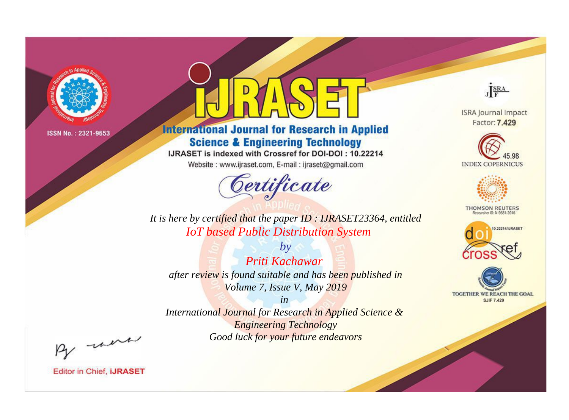

# **International Journal for Research in Applied Science & Engineering Technology**

IJRASET is indexed with Crossref for DOI-DOI: 10.22214

Website: www.ijraset.com, E-mail: ijraset@gmail.com



**ISRA Journal Impact** 

JERA

Factor: 7.429





**THOMSON REUTERS** 



TOGETHER WE REACH THE GOAL **SJIF 7.429** 

*It is here by certified that the paper ID : IJRASET23364, entitled IoT based Public Distribution System*

*by Priti Kachawar after review is found suitable and has been published in Volume 7, Issue V, May 2019*

*in* 

*International Journal for Research in Applied Science & Engineering Technology Good luck for your future endeavors*

By morn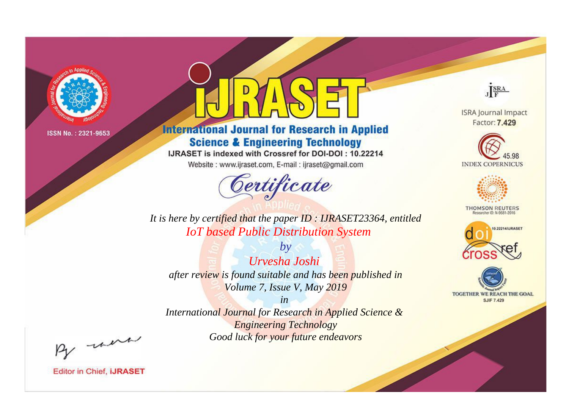

# **International Journal for Research in Applied Science & Engineering Technology**

IJRASET is indexed with Crossref for DOI-DOI: 10.22214

Website: www.ijraset.com, E-mail: ijraset@gmail.com



JERA

**ISRA Journal Impact** Factor: 7.429





**THOMSON REUTERS** 



TOGETHER WE REACH THE GOAL **SJIF 7.429** 

*It is here by certified that the paper ID : IJRASET23364, entitled IoT based Public Distribution System*

*by Urvesha Joshi after review is found suitable and has been published in Volume 7, Issue V, May 2019*

*in* 

*International Journal for Research in Applied Science & Engineering Technology Good luck for your future endeavors*

By morn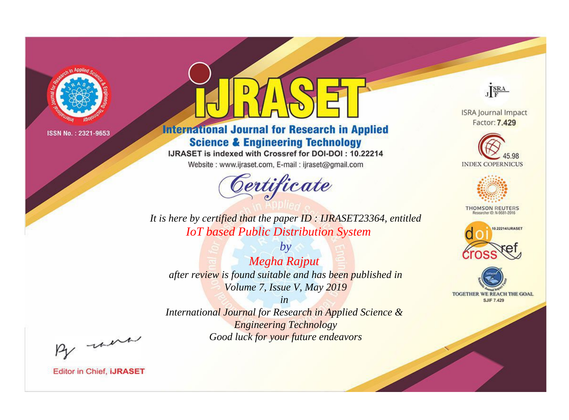

# **International Journal for Research in Applied Science & Engineering Technology**

IJRASET is indexed with Crossref for DOI-DOI: 10.22214

Website: www.ijraset.com, E-mail: ijraset@gmail.com



JERA **ISRA Journal Impact** 

Factor: 7.429





**THOMSON REUTERS** 



TOGETHER WE REACH THE GOAL **SJIF 7.429** 

*It is here by certified that the paper ID : IJRASET23364, entitled IoT based Public Distribution System*

*by Megha Rajput after review is found suitable and has been published in Volume 7, Issue V, May 2019*

*in* 

*International Journal for Research in Applied Science & Engineering Technology Good luck for your future endeavors*

By morn